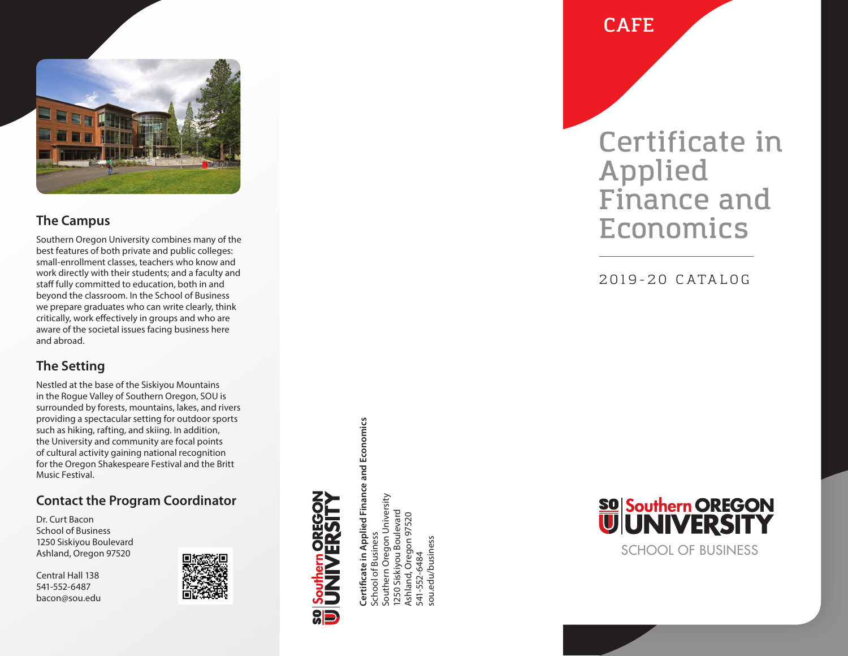

#### **The Campus**

Southern Oregon University combines many of the best features of both private and public colleges: small-enrollment classes, teachers who know and work directly with their students; and a faculty and staff fully committed to education, both in and beyond the classroom. In the School of Business we prepare graduates who can write clearly, think critically, work effectively in groups and who are aware of the societal issues facing business here and abroad.

## **The Setting**

Nestled at the base of the Siskiyou Mountains in the Rogue Valley of Southern Oregon, SOU is surrounded by forests, mountains, lakes, and rivers providing a spectacular setting for outdoor sports such as hiking, rafting, and skiing. In addition, the University and community are focal points of cultural activity gaining national recognition for the Oregon Shakespeare Festival and the Britt Music Festival.

### **Contact the Program Coordinator**

Dr. Curt Bacon School of Business 1250 Siskiyou Boulevard Ashland, Oregon 97520

Central Hall 138 541-552-6487 bacon@sou.edu



Certificate in Applied Finance and Economics **Certificate in Applied Finance and Economics** Southern Oregon University School of Business<br>Southern Oregon University 250 Siskiyou Boulevard 1250 Siskiyou Boulevard Ashland, Oregon 97520 Ashland, Oregon 97520 School of Business 541-552-6484 541-552-6484

sou.edu/business

ou.edu/business

**CAFE**

## **Certificate in Applied Finance and Economics**

2019-20 CATALOG